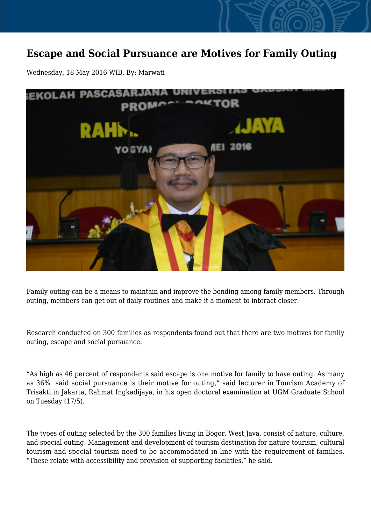## **Escape and Social Pursuance are Motives for Family Outing**

Wednesday, 18 May 2016 WIB, By: Marwati



Family outing can be a means to maintain and improve the bonding among family members. Through outing, members can get out of daily routines and make it a moment to interact closer.

Research conducted on 300 families as respondents found out that there are two motives for family outing, escape and social pursuance.

"As high as 46 percent of respondents said escape is one motive for family to have outing. As many as 36% said social pursuance is their motive for outing," said lecturer in Tourism Academy of Trisakti in Jakarta, Rahmat Ingkadijaya, in his open doctoral examination at UGM Graduate School on Tuesday (17/5).

The types of outing selected by the 300 families living in Bogor, West Java, consist of nature, culture, and special outing. Management and development of tourism destination for nature tourism, cultural tourism and special tourism need to be accommodated in line with the requirement of families. "These relate with accessibility and provision of supporting facilities," he said.